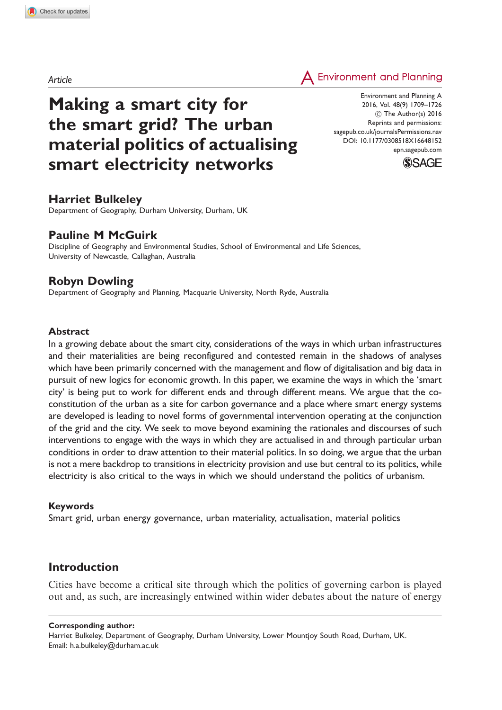Article

**Environment and Planning** 

# Making a smart city for the smart grid? The urban material politics of actualising smart electricity networks

Environment and Planning A 2016, Vol. 48(9) 1709–1726 (C) The Author(s) 2016 Reprints and permissions: sagepub.co.uk/journalsPermissions.nav DOI: 10.1177/0308518X16648152 epn.sagepub.com



## Harriet Bulkeley

Department of Geography, Durham University, Durham, UK

## Pauline M McGuirk

Discipline of Geography and Environmental Studies, School of Environmental and Life Sciences, University of Newcastle, Callaghan, Australia

# Robyn Dowling

Department of Geography and Planning, Macquarie University, North Ryde, Australia

## Abstract

In a growing debate about the smart city, considerations of the ways in which urban infrastructures and their materialities are being reconfigured and contested remain in the shadows of analyses which have been primarily concerned with the management and flow of digitalisation and big data in pursuit of new logics for economic growth. In this paper, we examine the ways in which the 'smart city' is being put to work for different ends and through different means. We argue that the coconstitution of the urban as a site for carbon governance and a place where smart energy systems are developed is leading to novel forms of governmental intervention operating at the conjunction of the grid and the city. We seek to move beyond examining the rationales and discourses of such interventions to engage with the ways in which they are actualised in and through particular urban conditions in order to draw attention to their material politics. In so doing, we argue that the urban is not a mere backdrop to transitions in electricity provision and use but central to its politics, while electricity is also critical to the ways in which we should understand the politics of urbanism.

#### Keywords

Smart grid, urban energy governance, urban materiality, actualisation, material politics

## Introduction

Cities have become a critical site through which the politics of governing carbon is played out and, as such, are increasingly entwined within wider debates about the nature of energy

#### Corresponding author:

Harriet Bulkeley, Department of Geography, Durham University, Lower Mountjoy South Road, Durham, UK. Email: h.a.bulkeley@durham.ac.uk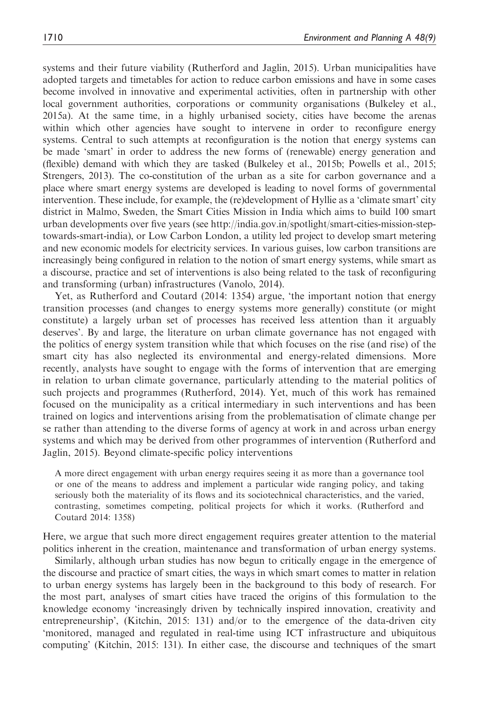systems and their future viability (Rutherford and Jaglin, 2015). Urban municipalities have adopted targets and timetables for action to reduce carbon emissions and have in some cases become involved in innovative and experimental activities, often in partnership with other local government authorities, corporations or community organisations (Bulkeley et al., 2015a). At the same time, in a highly urbanised society, cities have become the arenas within which other agencies have sought to intervene in order to reconfigure energy systems. Central to such attempts at reconfiguration is the notion that energy systems can be made 'smart' in order to address the new forms of (renewable) energy generation and (flexible) demand with which they are tasked (Bulkeley et al., 2015b; Powells et al., 2015; Strengers, 2013). The co-constitution of the urban as a site for carbon governance and a place where smart energy systems are developed is leading to novel forms of governmental intervention. These include, for example, the (re)development of Hyllie as a 'climate smart' city district in Malmo, Sweden, the Smart Cities Mission in India which aims to build 100 smart urban developments over five years (see http://india.gov.in/spotlight/smart-cities-mission-steptowards-smart-india), or Low Carbon London, a utility led project to develop smart metering and new economic models for electricity services. In various guises, low carbon transitions are increasingly being configured in relation to the notion of smart energy systems, while smart as a discourse, practice and set of interventions is also being related to the task of reconfiguring and transforming (urban) infrastructures (Vanolo, 2014).

Yet, as Rutherford and Coutard (2014: 1354) argue, 'the important notion that energy transition processes (and changes to energy systems more generally) constitute (or might constitute) a largely urban set of processes has received less attention than it arguably deserves'. By and large, the literature on urban climate governance has not engaged with the politics of energy system transition while that which focuses on the rise (and rise) of the smart city has also neglected its environmental and energy-related dimensions. More recently, analysts have sought to engage with the forms of intervention that are emerging in relation to urban climate governance, particularly attending to the material politics of such projects and programmes (Rutherford, 2014). Yet, much of this work has remained focused on the municipality as a critical intermediary in such interventions and has been trained on logics and interventions arising from the problematisation of climate change per se rather than attending to the diverse forms of agency at work in and across urban energy systems and which may be derived from other programmes of intervention (Rutherford and Jaglin, 2015). Beyond climate-specific policy interventions

A more direct engagement with urban energy requires seeing it as more than a governance tool or one of the means to address and implement a particular wide ranging policy, and taking seriously both the materiality of its flows and its sociotechnical characteristics, and the varied, contrasting, sometimes competing, political projects for which it works. (Rutherford and Coutard 2014: 1358)

Here, we argue that such more direct engagement requires greater attention to the material politics inherent in the creation, maintenance and transformation of urban energy systems.

Similarly, although urban studies has now begun to critically engage in the emergence of the discourse and practice of smart cities, the ways in which smart comes to matter in relation to urban energy systems has largely been in the background to this body of research. For the most part, analyses of smart cities have traced the origins of this formulation to the knowledge economy 'increasingly driven by technically inspired innovation, creativity and entrepreneurship', (Kitchin, 2015: 131) and/or to the emergence of the data-driven city 'monitored, managed and regulated in real-time using ICT infrastructure and ubiquitous computing' (Kitchin, 2015: 131). In either case, the discourse and techniques of the smart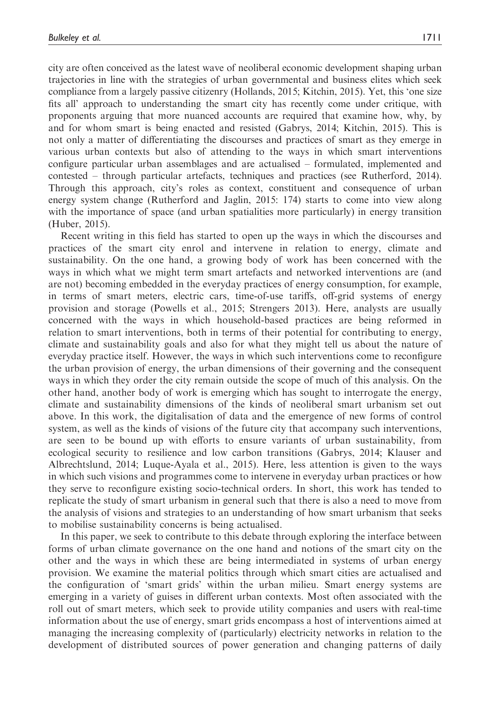city are often conceived as the latest wave of neoliberal economic development shaping urban trajectories in line with the strategies of urban governmental and business elites which seek compliance from a largely passive citizenry (Hollands, 2015; Kitchin, 2015). Yet, this 'one size fits all' approach to understanding the smart city has recently come under critique, with proponents arguing that more nuanced accounts are required that examine how, why, by and for whom smart is being enacted and resisted (Gabrys, 2014; Kitchin, 2015). This is not only a matter of differentiating the discourses and practices of smart as they emerge in various urban contexts but also of attending to the ways in which smart interventions configure particular urban assemblages and are actualised – formulated, implemented and contested – through particular artefacts, techniques and practices (see Rutherford, 2014). Through this approach, city's roles as context, constituent and consequence of urban energy system change (Rutherford and Jaglin, 2015: 174) starts to come into view along with the importance of space (and urban spatialities more particularly) in energy transition (Huber, 2015).

Recent writing in this field has started to open up the ways in which the discourses and practices of the smart city enrol and intervene in relation to energy, climate and sustainability. On the one hand, a growing body of work has been concerned with the ways in which what we might term smart artefacts and networked interventions are (and are not) becoming embedded in the everyday practices of energy consumption, for example, in terms of smart meters, electric cars, time-of-use tariffs, off-grid systems of energy provision and storage (Powells et al., 2015; Strengers 2013). Here, analysts are usually concerned with the ways in which household-based practices are being reformed in relation to smart interventions, both in terms of their potential for contributing to energy, climate and sustainability goals and also for what they might tell us about the nature of everyday practice itself. However, the ways in which such interventions come to reconfigure the urban provision of energy, the urban dimensions of their governing and the consequent ways in which they order the city remain outside the scope of much of this analysis. On the other hand, another body of work is emerging which has sought to interrogate the energy, climate and sustainability dimensions of the kinds of neoliberal smart urbanism set out above. In this work, the digitalisation of data and the emergence of new forms of control system, as well as the kinds of visions of the future city that accompany such interventions, are seen to be bound up with efforts to ensure variants of urban sustainability, from ecological security to resilience and low carbon transitions (Gabrys, 2014; Klauser and Albrechtslund, 2014; Luque-Ayala et al., 2015). Here, less attention is given to the ways in which such visions and programmes come to intervene in everyday urban practices or how they serve to reconfigure existing socio-technical orders. In short, this work has tended to replicate the study of smart urbanism in general such that there is also a need to move from the analysis of visions and strategies to an understanding of how smart urbanism that seeks to mobilise sustainability concerns is being actualised.

In this paper, we seek to contribute to this debate through exploring the interface between forms of urban climate governance on the one hand and notions of the smart city on the other and the ways in which these are being intermediated in systems of urban energy provision. We examine the material politics through which smart cities are actualised and the configuration of 'smart grids' within the urban milieu. Smart energy systems are emerging in a variety of guises in different urban contexts. Most often associated with the roll out of smart meters, which seek to provide utility companies and users with real-time information about the use of energy, smart grids encompass a host of interventions aimed at managing the increasing complexity of (particularly) electricity networks in relation to the development of distributed sources of power generation and changing patterns of daily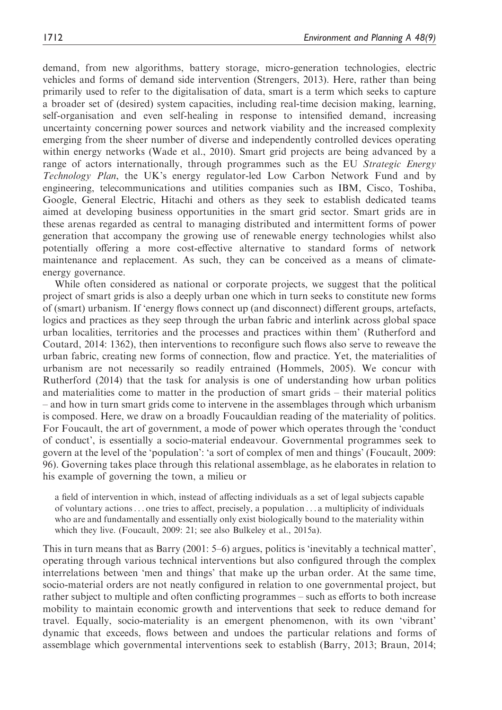demand, from new algorithms, battery storage, micro-generation technologies, electric vehicles and forms of demand side intervention (Strengers, 2013). Here, rather than being primarily used to refer to the digitalisation of data, smart is a term which seeks to capture a broader set of (desired) system capacities, including real-time decision making, learning, self-organisation and even self-healing in response to intensified demand, increasing uncertainty concerning power sources and network viability and the increased complexity emerging from the sheer number of diverse and independently controlled devices operating within energy networks (Wade et al., 2010). Smart grid projects are being advanced by a range of actors internationally, through programmes such as the EU Strategic Energy Technology Plan, the UK's energy regulator-led Low Carbon Network Fund and by engineering, telecommunications and utilities companies such as IBM, Cisco, Toshiba, Google, General Electric, Hitachi and others as they seek to establish dedicated teams aimed at developing business opportunities in the smart grid sector. Smart grids are in these arenas regarded as central to managing distributed and intermittent forms of power generation that accompany the growing use of renewable energy technologies whilst also potentially offering a more cost-effective alternative to standard forms of network maintenance and replacement. As such, they can be conceived as a means of climateenergy governance.

While often considered as national or corporate projects, we suggest that the political project of smart grids is also a deeply urban one which in turn seeks to constitute new forms of (smart) urbanism. If 'energy flows connect up (and disconnect) different groups, artefacts, logics and practices as they seep through the urban fabric and interlink across global space urban localities, territories and the processes and practices within them' (Rutherford and Coutard, 2014: 1362), then interventions to reconfigure such flows also serve to reweave the urban fabric, creating new forms of connection, flow and practice. Yet, the materialities of urbanism are not necessarily so readily entrained (Hommels, 2005). We concur with Rutherford (2014) that the task for analysis is one of understanding how urban politics and materialities come to matter in the production of smart grids – their material politics – and how in turn smart grids come to intervene in the assemblages through which urbanism is composed. Here, we draw on a broadly Foucauldian reading of the materiality of politics. For Foucault, the art of government, a mode of power which operates through the 'conduct of conduct', is essentially a socio-material endeavour. Governmental programmes seek to govern at the level of the 'population': 'a sort of complex of men and things' (Foucault, 2009: 96). Governing takes place through this relational assemblage, as he elaborates in relation to his example of governing the town, a milieu or

a field of intervention in which, instead of affecting individuals as a set of legal subjects capable of voluntary actions... one tries to affect, precisely, a population ... a multiplicity of individuals who are and fundamentally and essentially only exist biologically bound to the materiality within which they live. (Foucault, 2009: 21; see also Bulkeley et al., 2015a).

This in turn means that as Barry (2001: 5–6) argues, politics is 'inevitably a technical matter', operating through various technical interventions but also configured through the complex interrelations between 'men and things' that make up the urban order. At the same time, socio-material orders are not neatly configured in relation to one governmental project, but rather subject to multiple and often conflicting programmes – such as efforts to both increase mobility to maintain economic growth and interventions that seek to reduce demand for travel. Equally, socio-materiality is an emergent phenomenon, with its own 'vibrant' dynamic that exceeds, flows between and undoes the particular relations and forms of assemblage which governmental interventions seek to establish (Barry, 2013; Braun, 2014;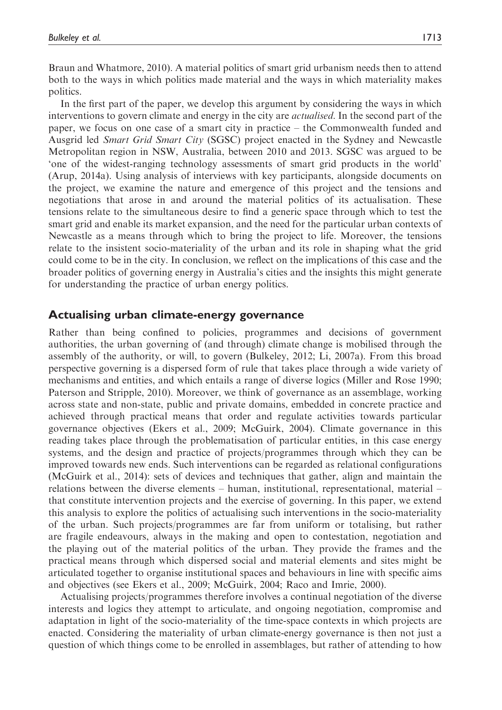Braun and Whatmore, 2010). A material politics of smart grid urbanism needs then to attend both to the ways in which politics made material and the ways in which materiality makes politics.

In the first part of the paper, we develop this argument by considering the ways in which interventions to govern climate and energy in the city are *actualised*. In the second part of the paper, we focus on one case of a smart city in practice – the Commonwealth funded and Ausgrid led Smart Grid Smart City (SGSC) project enacted in the Sydney and Newcastle Metropolitan region in NSW, Australia, between 2010 and 2013. SGSC was argued to be 'one of the widest-ranging technology assessments of smart grid products in the world' (Arup, 2014a). Using analysis of interviews with key participants, alongside documents on the project, we examine the nature and emergence of this project and the tensions and negotiations that arose in and around the material politics of its actualisation. These tensions relate to the simultaneous desire to find a generic space through which to test the smart grid and enable its market expansion, and the need for the particular urban contexts of Newcastle as a means through which to bring the project to life. Moreover, the tensions relate to the insistent socio-materiality of the urban and its role in shaping what the grid could come to be in the city. In conclusion, we reflect on the implications of this case and the broader politics of governing energy in Australia's cities and the insights this might generate for understanding the practice of urban energy politics.

## Actualising urban climate-energy governance

Rather than being confined to policies, programmes and decisions of government authorities, the urban governing of (and through) climate change is mobilised through the assembly of the authority, or will, to govern (Bulkeley, 2012; Li, 2007a). From this broad perspective governing is a dispersed form of rule that takes place through a wide variety of mechanisms and entities, and which entails a range of diverse logics (Miller and Rose 1990; Paterson and Stripple, 2010). Moreover, we think of governance as an assemblage, working across state and non-state, public and private domains, embedded in concrete practice and achieved through practical means that order and regulate activities towards particular governance objectives (Ekers et al., 2009; McGuirk, 2004). Climate governance in this reading takes place through the problematisation of particular entities, in this case energy systems, and the design and practice of projects/programmes through which they can be improved towards new ends. Such interventions can be regarded as relational configurations (McGuirk et al., 2014): sets of devices and techniques that gather, align and maintain the relations between the diverse elements – human, institutional, representational, material – that constitute intervention projects and the exercise of governing. In this paper, we extend this analysis to explore the politics of actualising such interventions in the socio-materiality of the urban. Such projects/programmes are far from uniform or totalising, but rather are fragile endeavours, always in the making and open to contestation, negotiation and the playing out of the material politics of the urban. They provide the frames and the practical means through which dispersed social and material elements and sites might be articulated together to organise institutional spaces and behaviours in line with specific aims and objectives (see Ekers et al., 2009; McGuirk, 2004; Raco and Imrie, 2000).

Actualising projects/programmes therefore involves a continual negotiation of the diverse interests and logics they attempt to articulate, and ongoing negotiation, compromise and adaptation in light of the socio-materiality of the time-space contexts in which projects are enacted. Considering the materiality of urban climate-energy governance is then not just a question of which things come to be enrolled in assemblages, but rather of attending to how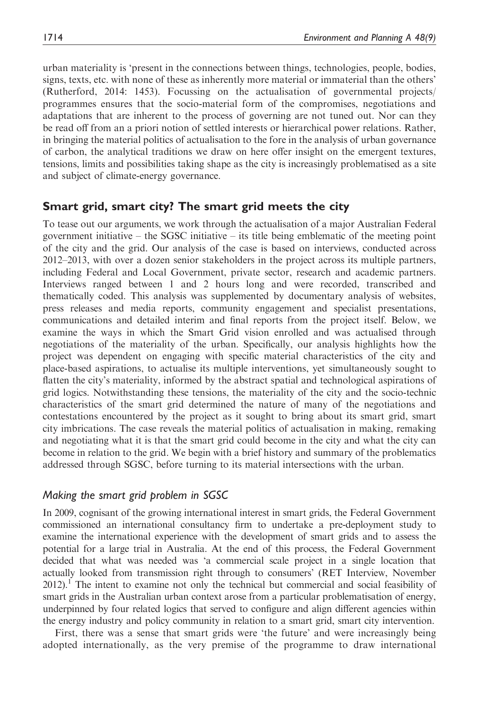urban materiality is 'present in the connections between things, technologies, people, bodies, signs, texts, etc. with none of these as inherently more material or immaterial than the others' (Rutherford, 2014: 1453). Focussing on the actualisation of governmental projects/ programmes ensures that the socio-material form of the compromises, negotiations and adaptations that are inherent to the process of governing are not tuned out. Nor can they be read off from an a priori notion of settled interests or hierarchical power relations. Rather, in bringing the material politics of actualisation to the fore in the analysis of urban governance of carbon, the analytical traditions we draw on here offer insight on the emergent textures, tensions, limits and possibilities taking shape as the city is increasingly problematised as a site and subject of climate-energy governance.

## Smart grid, smart city? The smart grid meets the city

To tease out our arguments, we work through the actualisation of a major Australian Federal government initiative – the SGSC initiative – its title being emblematic of the meeting point of the city and the grid. Our analysis of the case is based on interviews, conducted across 2012–2013, with over a dozen senior stakeholders in the project across its multiple partners, including Federal and Local Government, private sector, research and academic partners. Interviews ranged between 1 and 2 hours long and were recorded, transcribed and thematically coded. This analysis was supplemented by documentary analysis of websites, press releases and media reports, community engagement and specialist presentations, communications and detailed interim and final reports from the project itself. Below, we examine the ways in which the Smart Grid vision enrolled and was actualised through negotiations of the materiality of the urban. Specifically, our analysis highlights how the project was dependent on engaging with specific material characteristics of the city and place-based aspirations, to actualise its multiple interventions, yet simultaneously sought to flatten the city's materiality, informed by the abstract spatial and technological aspirations of grid logics. Notwithstanding these tensions, the materiality of the city and the socio-technic characteristics of the smart grid determined the nature of many of the negotiations and contestations encountered by the project as it sought to bring about its smart grid, smart city imbrications. The case reveals the material politics of actualisation in making, remaking and negotiating what it is that the smart grid could become in the city and what the city can become in relation to the grid. We begin with a brief history and summary of the problematics addressed through SGSC, before turning to its material intersections with the urban.

## Making the smart grid problem in SGSC

In 2009, cognisant of the growing international interest in smart grids, the Federal Government commissioned an international consultancy firm to undertake a pre-deployment study to examine the international experience with the development of smart grids and to assess the potential for a large trial in Australia. At the end of this process, the Federal Government decided that what was needed was 'a commercial scale project in a single location that actually looked from transmission right through to consumers' (RET Interview, November  $2012$ ).<sup>1</sup> The intent to examine not only the technical but commercial and social feasibility of smart grids in the Australian urban context arose from a particular problematisation of energy, underpinned by four related logics that served to configure and align different agencies within the energy industry and policy community in relation to a smart grid, smart city intervention.

First, there was a sense that smart grids were 'the future' and were increasingly being adopted internationally, as the very premise of the programme to draw international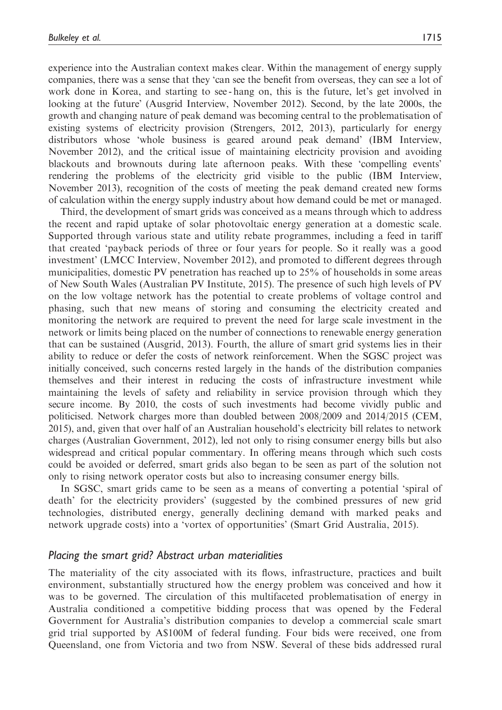experience into the Australian context makes clear. Within the management of energy supply companies, there was a sense that they 'can see the benefit from overseas, they can see a lot of work done in Korea, and starting to see - hang on, this is the future, let's get involved in looking at the future' (Ausgrid Interview, November 2012). Second, by the late 2000s, the growth and changing nature of peak demand was becoming central to the problematisation of existing systems of electricity provision (Strengers, 2012, 2013), particularly for energy distributors whose 'whole business is geared around peak demand' (IBM Interview, November 2012), and the critical issue of maintaining electricity provision and avoiding blackouts and brownouts during late afternoon peaks. With these 'compelling events' rendering the problems of the electricity grid visible to the public (IBM Interview, November 2013), recognition of the costs of meeting the peak demand created new forms of calculation within the energy supply industry about how demand could be met or managed.

Third, the development of smart grids was conceived as a means through which to address the recent and rapid uptake of solar photovoltaic energy generation at a domestic scale. Supported through various state and utility rebate programmes, including a feed in tariff that created 'payback periods of three or four years for people. So it really was a good investment' (LMCC Interview, November 2012), and promoted to different degrees through municipalities, domestic PV penetration has reached up to 25% of households in some areas of New South Wales (Australian PV Institute, 2015). The presence of such high levels of PV on the low voltage network has the potential to create problems of voltage control and phasing, such that new means of storing and consuming the electricity created and monitoring the network are required to prevent the need for large scale investment in the network or limits being placed on the number of connections to renewable energy generation that can be sustained (Ausgrid, 2013). Fourth, the allure of smart grid systems lies in their ability to reduce or defer the costs of network reinforcement. When the SGSC project was initially conceived, such concerns rested largely in the hands of the distribution companies themselves and their interest in reducing the costs of infrastructure investment while maintaining the levels of safety and reliability in service provision through which they secure income. By 2010, the costs of such investments had become vividly public and politicised. Network charges more than doubled between 2008/2009 and 2014/2015 (CEM, 2015), and, given that over half of an Australian household's electricity bill relates to network charges (Australian Government, 2012), led not only to rising consumer energy bills but also widespread and critical popular commentary. In offering means through which such costs could be avoided or deferred, smart grids also began to be seen as part of the solution not only to rising network operator costs but also to increasing consumer energy bills.

In SGSC, smart grids came to be seen as a means of converting a potential 'spiral of death' for the electricity providers' (suggested by the combined pressures of new grid technologies, distributed energy, generally declining demand with marked peaks and network upgrade costs) into a 'vortex of opportunities' (Smart Grid Australia, 2015).

#### Placing the smart grid? Abstract urban materialities

The materiality of the city associated with its flows, infrastructure, practices and built environment, substantially structured how the energy problem was conceived and how it was to be governed. The circulation of this multifaceted problematisation of energy in Australia conditioned a competitive bidding process that was opened by the Federal Government for Australia's distribution companies to develop a commercial scale smart grid trial supported by A\$100M of federal funding. Four bids were received, one from Queensland, one from Victoria and two from NSW. Several of these bids addressed rural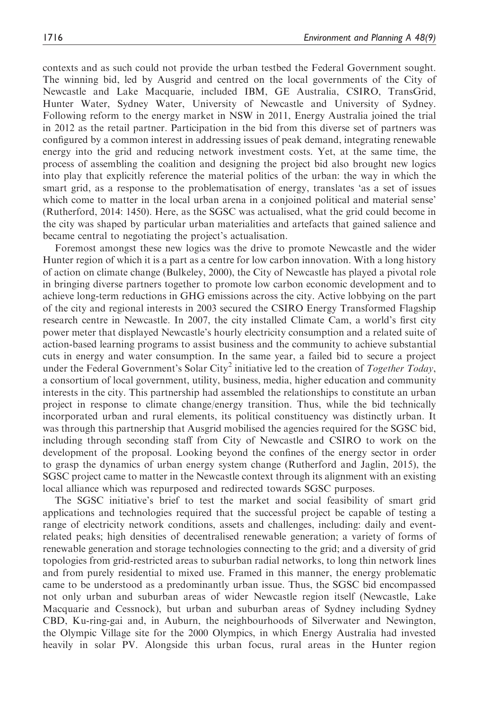contexts and as such could not provide the urban testbed the Federal Government sought. The winning bid, led by Ausgrid and centred on the local governments of the City of Newcastle and Lake Macquarie, included IBM, GE Australia, CSIRO, TransGrid, Hunter Water, Sydney Water, University of Newcastle and University of Sydney. Following reform to the energy market in NSW in 2011, Energy Australia joined the trial in 2012 as the retail partner. Participation in the bid from this diverse set of partners was configured by a common interest in addressing issues of peak demand, integrating renewable energy into the grid and reducing network investment costs. Yet, at the same time, the process of assembling the coalition and designing the project bid also brought new logics into play that explicitly reference the material politics of the urban: the way in which the smart grid, as a response to the problematisation of energy, translates 'as a set of issues which come to matter in the local urban arena in a conjoined political and material sense' (Rutherford, 2014: 1450). Here, as the SGSC was actualised, what the grid could become in the city was shaped by particular urban materialities and artefacts that gained salience and became central to negotiating the project's actualisation.

Foremost amongst these new logics was the drive to promote Newcastle and the wider Hunter region of which it is a part as a centre for low carbon innovation. With a long history of action on climate change (Bulkeley, 2000), the City of Newcastle has played a pivotal role in bringing diverse partners together to promote low carbon economic development and to achieve long-term reductions in GHG emissions across the city. Active lobbying on the part of the city and regional interests in 2003 secured the CSIRO Energy Transformed Flagship research centre in Newcastle. In 2007, the city installed Climate Cam, a world's first city power meter that displayed Newcastle's hourly electricity consumption and a related suite of action-based learning programs to assist business and the community to achieve substantial cuts in energy and water consumption. In the same year, a failed bid to secure a project under the Federal Government's Solar City<sup>2</sup> initiative led to the creation of Together Today, a consortium of local government, utility, business, media, higher education and community interests in the city. This partnership had assembled the relationships to constitute an urban project in response to climate change/energy transition. Thus, while the bid technically incorporated urban and rural elements, its political constituency was distinctly urban. It was through this partnership that Ausgrid mobilised the agencies required for the SGSC bid, including through seconding staff from City of Newcastle and CSIRO to work on the development of the proposal. Looking beyond the confines of the energy sector in order to grasp the dynamics of urban energy system change (Rutherford and Jaglin, 2015), the SGSC project came to matter in the Newcastle context through its alignment with an existing local alliance which was repurposed and redirected towards SGSC purposes.

The SGSC initiative's brief to test the market and social feasibility of smart grid applications and technologies required that the successful project be capable of testing a range of electricity network conditions, assets and challenges, including: daily and eventrelated peaks; high densities of decentralised renewable generation; a variety of forms of renewable generation and storage technologies connecting to the grid; and a diversity of grid topologies from grid-restricted areas to suburban radial networks, to long thin network lines and from purely residential to mixed use. Framed in this manner, the energy problematic came to be understood as a predominantly urban issue. Thus, the SGSC bid encompassed not only urban and suburban areas of wider Newcastle region itself (Newcastle, Lake Macquarie and Cessnock), but urban and suburban areas of Sydney including Sydney CBD, Ku-ring-gai and, in Auburn, the neighbourhoods of Silverwater and Newington, the Olympic Village site for the 2000 Olympics, in which Energy Australia had invested heavily in solar PV. Alongside this urban focus, rural areas in the Hunter region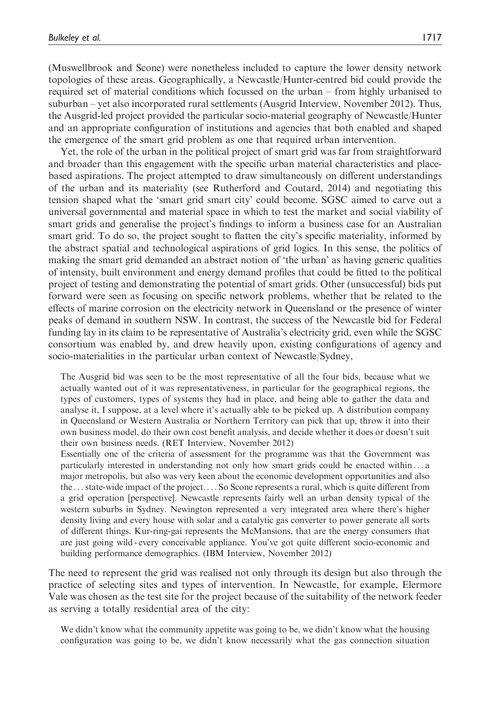(Muswellbrook and Scone) were nonetheless included to capture the lower density network topologies of these areas. Geographically, a Newcastle/Hunter-centred bid could provide the required set of material conditions which focussed on the urban – from highly urbanised to suburban – yet also incorporated rural settlements (Ausgrid Interview, November 2012). Thus, the Ausgrid-led project provided the particular socio-material geography of Newcastle/Hunter and an appropriate configuration of institutions and agencies that both enabled and shaped the emergence of the smart grid problem as one that required urban intervention.

Yet, the role of the urban in the political project of smart grid was far from straightforward and broader than this engagement with the specific urban material characteristics and placebased aspirations. The project attempted to draw simultaneously on different understandings of the urban and its materiality (see Rutherford and Coutard, 2014) and negotiating this tension shaped what the 'smart grid smart city' could become. SGSC aimed to carve out a universal governmental and material space in which to test the market and social viability of smart grids and generalise the project's findings to inform a business case for an Australian smart grid. To do so, the project sought to flatten the city's specific materiality, informed by the abstract spatial and technological aspirations of grid logics. In this sense, the politics of making the smart grid demanded an abstract notion of 'the urban' as having generic qualities of intensity, built environment and energy demand profiles that could be fitted to the political project of testing and demonstrating the potential of smart grids. Other (unsuccessful) bids put forward were seen as focusing on specific network problems, whether that be related to the effects of marine corrosion on the electricity network in Queensland or the presence of winter peaks of demand in southern NSW. In contrast, the success of the Newcastle bid for Federal funding lay in its claim to be representative of Australia's electricity grid, even while the SGSC consortium was enabled by, and drew heavily upon, existing configurations of agency and socio-materialities in the particular urban context of Newcastle/Sydney,

The Ausgrid bid was seen to be the most representative of all the four bids, because what we actually wanted out of it was representativeness, in particular for the geographical regions, the types of customers, types of systems they had in place, and being able to gather the data and analyse it, I suppose, at a level where it's actually able to be picked up. A distribution company in Queensland or Western Australia or Northern Territory can pick that up, throw it into their own business model, do their own cost benefit analysis, and decide whether it does or doesn't suit their own business needs. (RET Interview, November 2012)

Essentially one of the criteria of assessment for the programme was that the Government was particularly interested in understanding not only how smart grids could be enacted within ... a major metropolis, but also was very keen about the economic development opportunities and also the ...state-wide impact of the project. ... So Scone represents a rural, which is quite different from a grid operation [perspective]. Newcastle represents fairly well an urban density typical of the western suburbs in Sydney. Newington represented a very integrated area where there's higher density living and every house with solar and a catalytic gas converter to power generate all sorts of different things. Kur-ring-gai represents the McMansions, that are the energy consumers that are just going wild - every conceivable appliance. You've got quite different socio-economic and building performance demographics. (IBM Interview, November 2012)

The need to represent the grid was realised not only through its design but also through the practice of selecting sites and types of intervention. In Newcastle, for example, Elermore Vale was chosen as the test site for the project because of the suitability of the network feeder as serving a totally residential area of the city:

We didn't know what the community appetite was going to be, we didn't know what the housing configuration was going to be, we didn't know necessarily what the gas connection situation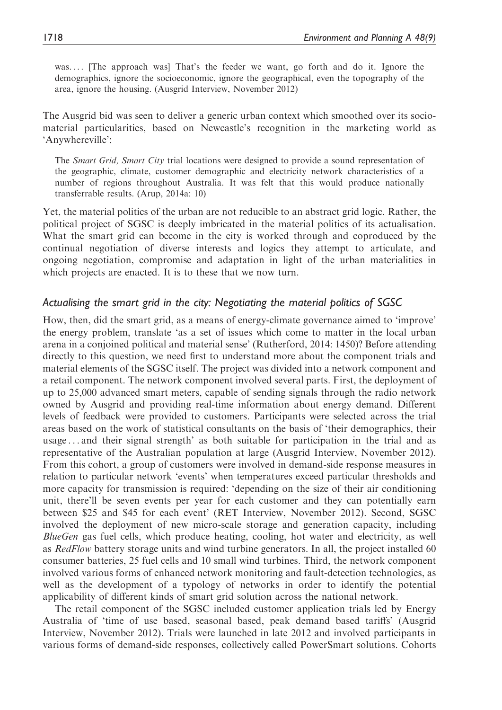was. ... [The approach was] That's the feeder we want, go forth and do it. Ignore the demographics, ignore the socioeconomic, ignore the geographical, even the topography of the area, ignore the housing. (Ausgrid Interview, November 2012)

The Ausgrid bid was seen to deliver a generic urban context which smoothed over its sociomaterial particularities, based on Newcastle's recognition in the marketing world as 'Anywhereville':

The *Smart Grid, Smart City* trial locations were designed to provide a sound representation of the geographic, climate, customer demographic and electricity network characteristics of a number of regions throughout Australia. It was felt that this would produce nationally transferrable results. (Arup, 2014a: 10)

Yet, the material politics of the urban are not reducible to an abstract grid logic. Rather, the political project of SGSC is deeply imbricated in the material politics of its actualisation. What the smart grid can become in the city is worked through and coproduced by the continual negotiation of diverse interests and logics they attempt to articulate, and ongoing negotiation, compromise and adaptation in light of the urban materialities in which projects are enacted. It is to these that we now turn.

## Actualising the smart grid in the city: Negotiating the material politics of SGSC

How, then, did the smart grid, as a means of energy-climate governance aimed to 'improve' the energy problem, translate 'as a set of issues which come to matter in the local urban arena in a conjoined political and material sense' (Rutherford, 2014: 1450)? Before attending directly to this question, we need first to understand more about the component trials and material elements of the SGSC itself. The project was divided into a network component and a retail component. The network component involved several parts. First, the deployment of up to 25,000 advanced smart meters, capable of sending signals through the radio network owned by Ausgrid and providing real-time information about energy demand. Different levels of feedback were provided to customers. Participants were selected across the trial areas based on the work of statistical consultants on the basis of 'their demographics, their usage ... and their signal strength' as both suitable for participation in the trial and as representative of the Australian population at large (Ausgrid Interview, November 2012). From this cohort, a group of customers were involved in demand-side response measures in relation to particular network 'events' when temperatures exceed particular thresholds and more capacity for transmission is required: 'depending on the size of their air conditioning unit, there'll be seven events per year for each customer and they can potentially earn between \$25 and \$45 for each event' (RET Interview, November 2012). Second, SGSC involved the deployment of new micro-scale storage and generation capacity, including BlueGen gas fuel cells, which produce heating, cooling, hot water and electricity, as well as RedFlow battery storage units and wind turbine generators. In all, the project installed 60 consumer batteries, 25 fuel cells and 10 small wind turbines. Third, the network component involved various forms of enhanced network monitoring and fault-detection technologies, as well as the development of a typology of networks in order to identify the potential applicability of different kinds of smart grid solution across the national network.

The retail component of the SGSC included customer application trials led by Energy Australia of 'time of use based, seasonal based, peak demand based tariffs' (Ausgrid Interview, November 2012). Trials were launched in late 2012 and involved participants in various forms of demand-side responses, collectively called PowerSmart solutions. Cohorts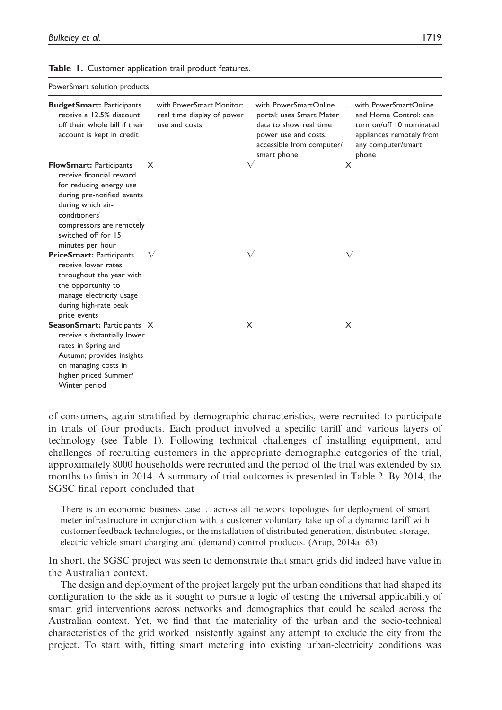|  |  |  | Table 1. Customer application trail product features. |  |  |  |
|--|--|--|-------------------------------------------------------|--|--|--|
|--|--|--|-------------------------------------------------------|--|--|--|

| PowerSmart solution products                                                                                                                                                                                                     |                                                                                                |                                                                                                                        |                                                                                                                                       |  |  |  |  |
|----------------------------------------------------------------------------------------------------------------------------------------------------------------------------------------------------------------------------------|------------------------------------------------------------------------------------------------|------------------------------------------------------------------------------------------------------------------------|---------------------------------------------------------------------------------------------------------------------------------------|--|--|--|--|
| <b>BudgetSmart: Participants</b><br>receive a 12.5% discount<br>off their whole bill if their<br>account is kept in credit                                                                                                       | with PowerSmart Monitor:  with PowerSmartOnline<br>real time display of power<br>use and costs | portal: uses Smart Meter<br>data to show real time<br>power use and costs;<br>accessible from computer/<br>smart phone | with PowerSmartOnline<br>and Home Control: can<br>turn on/off 10 nominated<br>appliances remotely from<br>any computer/smart<br>phone |  |  |  |  |
| <b>FlowSmart: Participants</b><br>receive financial reward<br>for reducing energy use<br>during pre-notified events<br>during which air-<br>conditioners'<br>compressors are remotely<br>switched off for 15<br>minutes per hour | X                                                                                              | $\sqrt{}$                                                                                                              | X                                                                                                                                     |  |  |  |  |
| <b>PriceSmart: Participants</b><br>receive lower rates<br>throughout the year with<br>the opportunity to<br>manage electricity usage<br>during high-rate peak<br>price events                                                    | $\sqrt{}$                                                                                      | V                                                                                                                      |                                                                                                                                       |  |  |  |  |
| <b>SeasonSmart: Participants X</b><br>receive substantially lower<br>rates in Spring and<br>Autumn; provides insights<br>on managing costs in<br>higher priced Summer/<br>Winter period                                          |                                                                                                | X                                                                                                                      | X                                                                                                                                     |  |  |  |  |

of consumers, again stratified by demographic characteristics, were recruited to participate in trials of four products. Each product involved a specific tariff and various layers of technology (see Table 1). Following technical challenges of installing equipment, and challenges of recruiting customers in the appropriate demographic categories of the trial, approximately 8000 households were recruited and the period of the trial was extended by six months to finish in 2014. A summary of trial outcomes is presented in Table 2. By 2014, the SGSC final report concluded that

There is an economic business case ... across all network topologies for deployment of smart meter infrastructure in conjunction with a customer voluntary take up of a dynamic tariff with customer feedback technologies, or the installation of distributed generation, distributed storage, electric vehicle smart charging and (demand) control products. (Arup, 2014a: 63)

In short, the SGSC project was seen to demonstrate that smart grids did indeed have value in the Australian context.

The design and deployment of the project largely put the urban conditions that had shaped its configuration to the side as it sought to pursue a logic of testing the universal applicability of smart grid interventions across networks and demographics that could be scaled across the Australian context. Yet, we find that the materiality of the urban and the socio-technical characteristics of the grid worked insistently against any attempt to exclude the city from the project. To start with, fitting smart metering into existing urban-electricity conditions was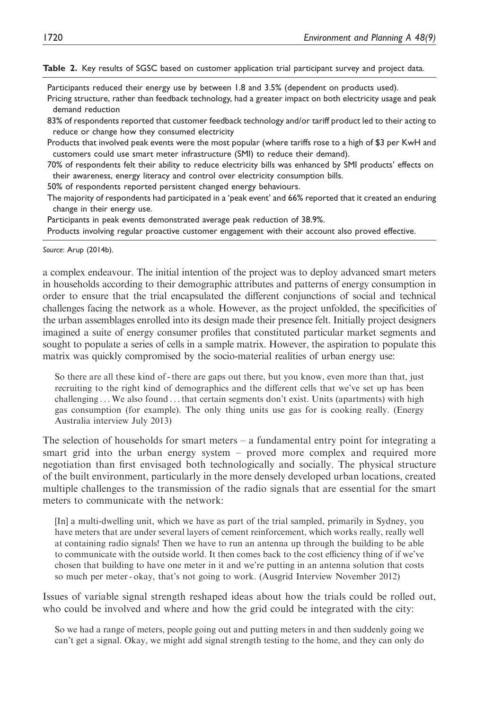#### Table 2. Key results of SGSC based on customer application trial participant survey and project data.

Participants reduced their energy use by between 1.8 and 3.5% (dependent on products used).

Pricing structure, rather than feedback technology, had a greater impact on both electricity usage and peak demand reduction

83% of respondents reported that customer feedback technology and/or tariff product led to their acting to reduce or change how they consumed electricity

Products that involved peak events were the most popular (where tariffs rose to a high of \$3 per KwH and customers could use smart meter infrastructure (SMI) to reduce their demand).

70% of respondents felt their ability to reduce electricity bills was enhanced by SMI products' effects on their awareness, energy literacy and control over electricity consumption bills.

50% of respondents reported persistent changed energy behaviours.

The majority of respondents had participated in a 'peak event' and 66% reported that it created an enduring change in their energy use.

Participants in peak events demonstrated average peak reduction of 38.9%.

Products involving regular proactive customer engagement with their account also proved effective.

Source: Arup (2014b).

a complex endeavour. The initial intention of the project was to deploy advanced smart meters in households according to their demographic attributes and patterns of energy consumption in order to ensure that the trial encapsulated the different conjunctions of social and technical challenges facing the network as a whole. However, as the project unfolded, the specificities of the urban assemblages enrolled into its design made their presence felt. Initially project designers imagined a suite of energy consumer profiles that constituted particular market segments and sought to populate a series of cells in a sample matrix. However, the aspiration to populate this matrix was quickly compromised by the socio-material realities of urban energy use:

So there are all these kind of - there are gaps out there, but you know, even more than that, just recruiting to the right kind of demographics and the different cells that we've set up has been challenging ... We also found ...that certain segments don't exist. Units (apartments) with high gas consumption (for example). The only thing units use gas for is cooking really. (Energy Australia interview July 2013)

The selection of households for smart meters – a fundamental entry point for integrating a smart grid into the urban energy system – proved more complex and required more negotiation than first envisaged both technologically and socially. The physical structure of the built environment, particularly in the more densely developed urban locations, created multiple challenges to the transmission of the radio signals that are essential for the smart meters to communicate with the network:

[In] a multi-dwelling unit, which we have as part of the trial sampled, primarily in Sydney, you have meters that are under several layers of cement reinforcement, which works really, really well at containing radio signals! Then we have to run an antenna up through the building to be able to communicate with the outside world. It then comes back to the cost efficiency thing of if we've chosen that building to have one meter in it and we're putting in an antenna solution that costs so much per meter - okay, that's not going to work. (Ausgrid Interview November 2012)

Issues of variable signal strength reshaped ideas about how the trials could be rolled out, who could be involved and where and how the grid could be integrated with the city:

So we had a range of meters, people going out and putting meters in and then suddenly going we can't get a signal. Okay, we might add signal strength testing to the home, and they can only do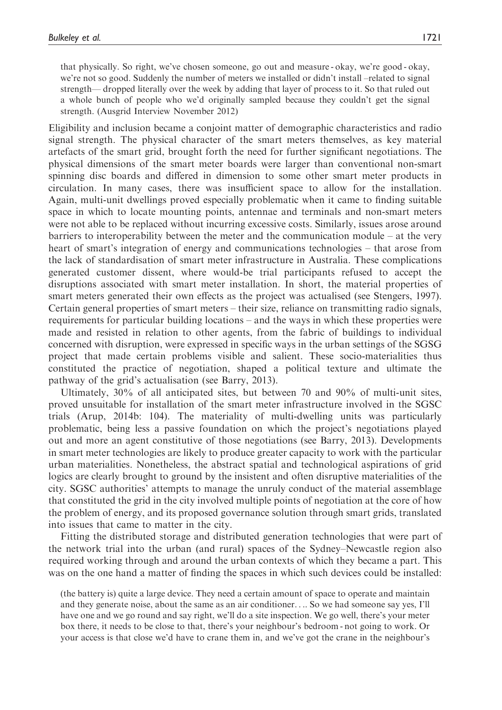that physically. So right, we've chosen someone, go out and measure - okay, we're good - okay, we're not so good. Suddenly the number of meters we installed or didn't install –related to signal strength— dropped literally over the week by adding that layer of process to it. So that ruled out a whole bunch of people who we'd originally sampled because they couldn't get the signal strength. (Ausgrid Interview November 2012)

Eligibility and inclusion became a conjoint matter of demographic characteristics and radio signal strength. The physical character of the smart meters themselves, as key material artefacts of the smart grid, brought forth the need for further significant negotiations. The physical dimensions of the smart meter boards were larger than conventional non-smart spinning disc boards and differed in dimension to some other smart meter products in circulation. In many cases, there was insufficient space to allow for the installation. Again, multi-unit dwellings proved especially problematic when it came to finding suitable space in which to locate mounting points, antennae and terminals and non-smart meters were not able to be replaced without incurring excessive costs. Similarly, issues arose around barriers to interoperability between the meter and the communication module – at the very heart of smart's integration of energy and communications technologies – that arose from the lack of standardisation of smart meter infrastructure in Australia. These complications generated customer dissent, where would-be trial participants refused to accept the disruptions associated with smart meter installation. In short, the material properties of smart meters generated their own effects as the project was actualised (see Stengers, 1997). Certain general properties of smart meters – their size, reliance on transmitting radio signals, requirements for particular building locations – and the ways in which these properties were made and resisted in relation to other agents, from the fabric of buildings to individual concerned with disruption, were expressed in specific ways in the urban settings of the SGSG project that made certain problems visible and salient. These socio-materialities thus constituted the practice of negotiation, shaped a political texture and ultimate the pathway of the grid's actualisation (see Barry, 2013).

Ultimately, 30% of all anticipated sites, but between 70 and 90% of multi-unit sites, proved unsuitable for installation of the smart meter infrastructure involved in the SGSC trials (Arup, 2014b: 104). The materiality of multi-dwelling units was particularly problematic, being less a passive foundation on which the project's negotiations played out and more an agent constitutive of those negotiations (see Barry, 2013). Developments in smart meter technologies are likely to produce greater capacity to work with the particular urban materialities. Nonetheless, the abstract spatial and technological aspirations of grid logics are clearly brought to ground by the insistent and often disruptive materialities of the city. SGSC authorities' attempts to manage the unruly conduct of the material assemblage that constituted the grid in the city involved multiple points of negotiation at the core of how the problem of energy, and its proposed governance solution through smart grids, translated into issues that came to matter in the city.

Fitting the distributed storage and distributed generation technologies that were part of the network trial into the urban (and rural) spaces of the Sydney–Newcastle region also required working through and around the urban contexts of which they became a part. This was on the one hand a matter of finding the spaces in which such devices could be installed:

(the battery is) quite a large device. They need a certain amount of space to operate and maintain and they generate noise, about the same as an air conditioner.... So we had someone say yes, I'll have one and we go round and say right, we'll do a site inspection. We go well, there's your meter box there, it needs to be close to that, there's your neighbour's bedroom - not going to work. Or your access is that close we'd have to crane them in, and we've got the crane in the neighbour's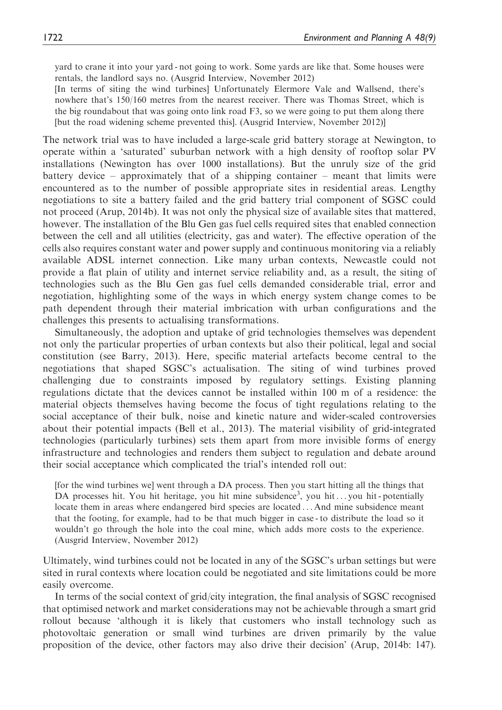yard to crane it into your yard - not going to work. Some yards are like that. Some houses were rentals, the landlord says no. (Ausgrid Interview, November 2012)

[In terms of siting the wind turbines] Unfortunately Elermore Vale and Wallsend, there's nowhere that's 150/160 metres from the nearest receiver. There was Thomas Street, which is the big roundabout that was going onto link road F3, so we were going to put them along there [but the road widening scheme prevented this]. (Ausgrid Interview, November 2012)]

The network trial was to have included a large-scale grid battery storage at Newington, to operate within a 'saturated' suburban network with a high density of rooftop solar PV installations (Newington has over 1000 installations). But the unruly size of the grid battery device – approximately that of a shipping container – meant that limits were encountered as to the number of possible appropriate sites in residential areas. Lengthy negotiations to site a battery failed and the grid battery trial component of SGSC could not proceed (Arup, 2014b). It was not only the physical size of available sites that mattered, however. The installation of the Blu Gen gas fuel cells required sites that enabled connection between the cell and all utilities (electricity, gas and water). The effective operation of the cells also requires constant water and power supply and continuous monitoring via a reliably available ADSL internet connection. Like many urban contexts, Newcastle could not provide a flat plain of utility and internet service reliability and, as a result, the siting of technologies such as the Blu Gen gas fuel cells demanded considerable trial, error and negotiation, highlighting some of the ways in which energy system change comes to be path dependent through their material imbrication with urban configurations and the challenges this presents to actualising transformations.

Simultaneously, the adoption and uptake of grid technologies themselves was dependent not only the particular properties of urban contexts but also their political, legal and social constitution (see Barry, 2013). Here, specific material artefacts become central to the negotiations that shaped SGSC's actualisation. The siting of wind turbines proved challenging due to constraints imposed by regulatory settings. Existing planning regulations dictate that the devices cannot be installed within 100 m of a residence: the material objects themselves having become the focus of tight regulations relating to the social acceptance of their bulk, noise and kinetic nature and wider-scaled controversies about their potential impacts (Bell et al., 2013). The material visibility of grid-integrated technologies (particularly turbines) sets them apart from more invisible forms of energy infrastructure and technologies and renders them subject to regulation and debate around their social acceptance which complicated the trial's intended roll out:

[for the wind turbines we] went through a DA process. Then you start hitting all the things that DA processes hit. You hit heritage, you hit mine subsidence<sup>3</sup>, you hit...you hit - potentially locate them in areas where endangered bird species are located ... And mine subsidence meant that the footing, for example, had to be that much bigger in case - to distribute the load so it wouldn't go through the hole into the coal mine, which adds more costs to the experience. (Ausgrid Interview, November 2012)

Ultimately, wind turbines could not be located in any of the SGSC's urban settings but were sited in rural contexts where location could be negotiated and site limitations could be more easily overcome.

In terms of the social context of grid/city integration, the final analysis of SGSC recognised that optimised network and market considerations may not be achievable through a smart grid rollout because 'although it is likely that customers who install technology such as photovoltaic generation or small wind turbines are driven primarily by the value proposition of the device, other factors may also drive their decision' (Arup, 2014b: 147).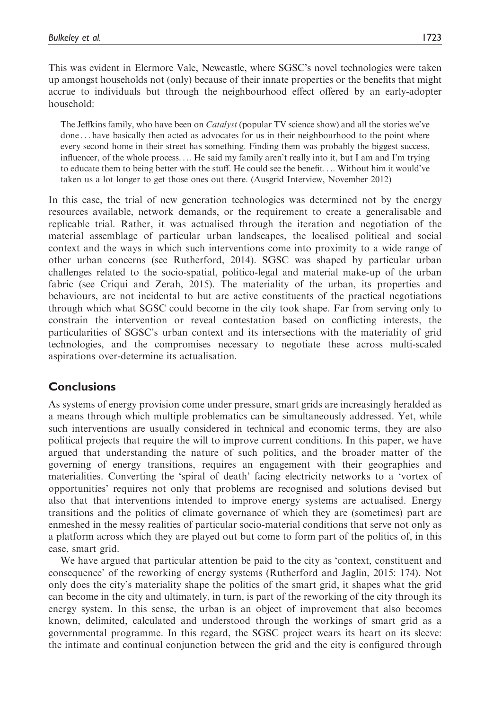This was evident in Elermore Vale, Newcastle, where SGSC's novel technologies were taken up amongst households not (only) because of their innate properties or the benefits that might accrue to individuals but through the neighbourhood effect offered by an early-adopter household:

The Jeffkins family, who have been on *Catalyst* (popular TV science show) and all the stories we've done ... have basically then acted as advocates for us in their neighbourhood to the point where every second home in their street has something. Finding them was probably the biggest success, influencer, of the whole process.... He said my family aren't really into it, but I am and I'm trying to educate them to being better with the stuff. He could see the benefit.... Without him it would've taken us a lot longer to get those ones out there. (Ausgrid Interview, November 2012)

In this case, the trial of new generation technologies was determined not by the energy resources available, network demands, or the requirement to create a generalisable and replicable trial. Rather, it was actualised through the iteration and negotiation of the material assemblage of particular urban landscapes, the localised political and social context and the ways in which such interventions come into proximity to a wide range of other urban concerns (see Rutherford, 2014). SGSC was shaped by particular urban challenges related to the socio-spatial, politico-legal and material make-up of the urban fabric (see Criqui and Zerah, 2015). The materiality of the urban, its properties and behaviours, are not incidental to but are active constituents of the practical negotiations through which what SGSC could become in the city took shape. Far from serving only to constrain the intervention or reveal contestation based on conflicting interests, the particularities of SGSC's urban context and its intersections with the materiality of grid technologies, and the compromises necessary to negotiate these across multi-scaled aspirations over-determine its actualisation.

## **Conclusions**

As systems of energy provision come under pressure, smart grids are increasingly heralded as a means through which multiple problematics can be simultaneously addressed. Yet, while such interventions are usually considered in technical and economic terms, they are also political projects that require the will to improve current conditions. In this paper, we have argued that understanding the nature of such politics, and the broader matter of the governing of energy transitions, requires an engagement with their geographies and materialities. Converting the 'spiral of death' facing electricity networks to a 'vortex of opportunities' requires not only that problems are recognised and solutions devised but also that that interventions intended to improve energy systems are actualised. Energy transitions and the politics of climate governance of which they are (sometimes) part are enmeshed in the messy realities of particular socio-material conditions that serve not only as a platform across which they are played out but come to form part of the politics of, in this case, smart grid.

We have argued that particular attention be paid to the city as 'context, constituent and consequence' of the reworking of energy systems (Rutherford and Jaglin, 2015: 174). Not only does the city's materiality shape the politics of the smart grid, it shapes what the grid can become in the city and ultimately, in turn, is part of the reworking of the city through its energy system. In this sense, the urban is an object of improvement that also becomes known, delimited, calculated and understood through the workings of smart grid as a governmental programme. In this regard, the SGSC project wears its heart on its sleeve: the intimate and continual conjunction between the grid and the city is configured through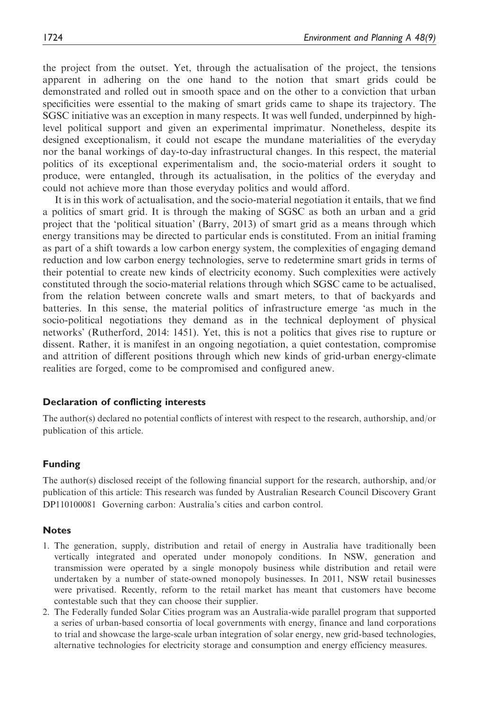the project from the outset. Yet, through the actualisation of the project, the tensions apparent in adhering on the one hand to the notion that smart grids could be demonstrated and rolled out in smooth space and on the other to a conviction that urban specificities were essential to the making of smart grids came to shape its trajectory. The SGSC initiative was an exception in many respects. It was well funded, underpinned by highlevel political support and given an experimental imprimatur. Nonetheless, despite its designed exceptionalism, it could not escape the mundane materialities of the everyday nor the banal workings of day-to-day infrastructural changes. In this respect, the material politics of its exceptional experimentalism and, the socio-material orders it sought to produce, were entangled, through its actualisation, in the politics of the everyday and could not achieve more than those everyday politics and would afford.

It is in this work of actualisation, and the socio-material negotiation it entails, that we find a politics of smart grid. It is through the making of SGSC as both an urban and a grid project that the 'political situation' (Barry, 2013) of smart grid as a means through which energy transitions may be directed to particular ends is constituted. From an initial framing as part of a shift towards a low carbon energy system, the complexities of engaging demand reduction and low carbon energy technologies, serve to redetermine smart grids in terms of their potential to create new kinds of electricity economy. Such complexities were actively constituted through the socio-material relations through which SGSC came to be actualised, from the relation between concrete walls and smart meters, to that of backyards and batteries. In this sense, the material politics of infrastructure emerge 'as much in the socio-political negotiations they demand as in the technical deployment of physical networks' (Rutherford, 2014: 1451). Yet, this is not a politics that gives rise to rupture or dissent. Rather, it is manifest in an ongoing negotiation, a quiet contestation, compromise and attrition of different positions through which new kinds of grid-urban energy-climate realities are forged, come to be compromised and configured anew.

#### Declaration of conflicting interests

The author(s) declared no potential conflicts of interest with respect to the research, authorship, and/or publication of this article.

#### Funding

The author(s) disclosed receipt of the following financial support for the research, authorship, and/or publication of this article: This research was funded by Australian Research Council Discovery Grant DP110100081 Governing carbon: Australia's cities and carbon control.

#### **Notes**

- 1. The generation, supply, distribution and retail of energy in Australia have traditionally been vertically integrated and operated under monopoly conditions. In NSW, generation and transmission were operated by a single monopoly business while distribution and retail were undertaken by a number of state-owned monopoly businesses. In 2011, NSW retail businesses were privatised. Recently, reform to the retail market has meant that customers have become contestable such that they can choose their supplier.
- 2. The Federally funded Solar Cities program was an Australia-wide parallel program that supported a series of urban-based consortia of local governments with energy, finance and land corporations to trial and showcase the large-scale urban integration of solar energy, new grid-based technologies, alternative technologies for electricity storage and consumption and energy efficiency measures.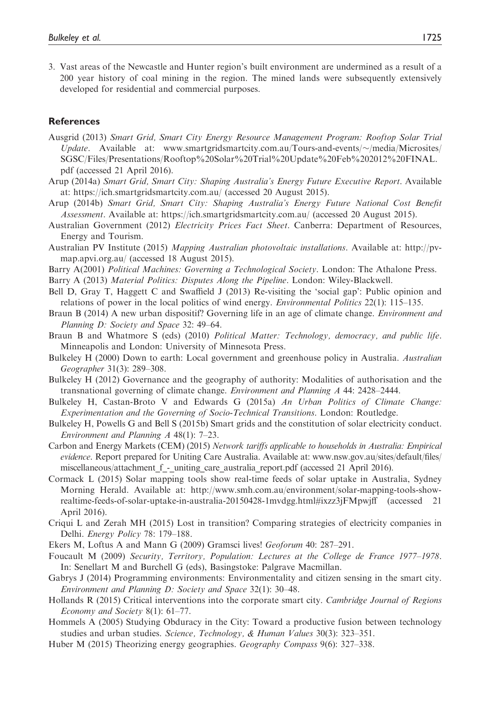3. Vast areas of the Newcastle and Hunter region's built environment are undermined as a result of a 200 year history of coal mining in the region. The mined lands were subsequently extensively developed for residential and commercial purposes.

#### **References**

- Ausgrid (2013) Smart Grid, Smart City Energy Resource Management Program: Rooftop Solar Trial Update. Available at: www.smartgridsmartcity.com.au/Tours-and-events/ $\sim$ /media/Microsites/ SGSC/Files/Presentations/Rooftop%20Solar%20Trial%20Update%20Feb%202012%20FINAL. pdf (accessed 21 April 2016).
- Arup (2014a) Smart Grid, Smart City: Shaping Australia's Energy Future Executive Report. Available at: https://ich.smartgridsmartcity.com.au/ (accessed 20 August 2015).
- Arup (2014b) Smart Grid, Smart City: Shaping Australia's Energy Future National Cost Benefit Assessment. Available at: https://ich.smartgridsmartcity.com.au/ (accessed 20 August 2015).
- Australian Government (2012) Electricity Prices Fact Sheet. Canberra: Department of Resources, Energy and Tourism.
- Australian PV Institute (2015) Mapping Australian photovoltaic installations. Available at: http://pvmap.apvi.org.au/ (accessed 18 August 2015).
- Barry A(2001) Political Machines: Governing a Technological Society. London: The Athalone Press.
- Barry A (2013) Material Politics: Disputes Along the Pipeline. London: Wiley-Blackwell.
- Bell D, Gray T, Haggett C and Swaffield J (2013) Re-visiting the 'social gap': Public opinion and relations of power in the local politics of wind energy. Environmental Politics 22(1): 115–135.
- Braun B (2014) A new urban dispositif? Governing life in an age of climate change. *Environment and* Planning D: Society and Space 32: 49–64.
- Braun B and Whatmore S (eds) (2010) Political Matter: Technology, democracy, and public life. Minneapolis and London: University of Minnesota Press.
- Bulkeley H (2000) Down to earth: Local government and greenhouse policy in Australia. Australian Geographer 31(3): 289–308.
- Bulkeley H (2012) Governance and the geography of authority: Modalities of authorisation and the transnational governing of climate change. Environment and Planning A 44: 2428–2444.
- Bulkeley H, Castan-Broto V and Edwards G (2015a) An Urban Politics of Climate Change: Experimentation and the Governing of Socio-Technical Transitions. London: Routledge.
- Bulkeley H, Powells G and Bell S (2015b) Smart grids and the constitution of solar electricity conduct. Environment and Planning A 48(1): 7–23.
- Carbon and Energy Markets (CEM) (2015) Network tariffs applicable to households in Australia: Empirical evidence. Report prepared for Uniting Care Australia. Available at: www.nsw.gov.au/sites/default/files/ miscellaneous/attachment\_f\_-\_uniting\_care\_australia\_report.pdf (accessed 21 April 2016).
- Cormack L (2015) Solar mapping tools show real-time feeds of solar uptake in Australia, Sydney Morning Herald. Available at: http://www.smh.com.au/environment/solar-mapping-tools-showrealtime-feeds-of-solar-uptake-in-australia-20150428-1mvdgg.html#ixzz3jFMpwjff (accessed 21 April 2016).
- Criqui L and Zerah MH (2015) Lost in transition? Comparing strategies of electricity companies in Delhi. Energy Policy 78: 179–188.
- Ekers M, Loftus A and Mann G (2009) Gramsci lives! Geoforum 40: 287–291.
- Foucault M (2009) Security, Territory, Population: Lectures at the College de France 1977–1978. In: Senellart M and Burchell G (eds), Basingstoke: Palgrave Macmillan.
- Gabrys J (2014) Programming environments: Environmentality and citizen sensing in the smart city. Environment and Planning D: Society and Space 32(1): 30–48.
- Hollands R (2015) Critical interventions into the corporate smart city. Cambridge Journal of Regions Economy and Society 8(1): 61–77.
- Hommels A (2005) Studying Obduracy in the City: Toward a productive fusion between technology studies and urban studies. Science, Technology, & Human Values 30(3): 323–351.
- Huber M (2015) Theorizing energy geographies. Geography Compass 9(6): 327–338.